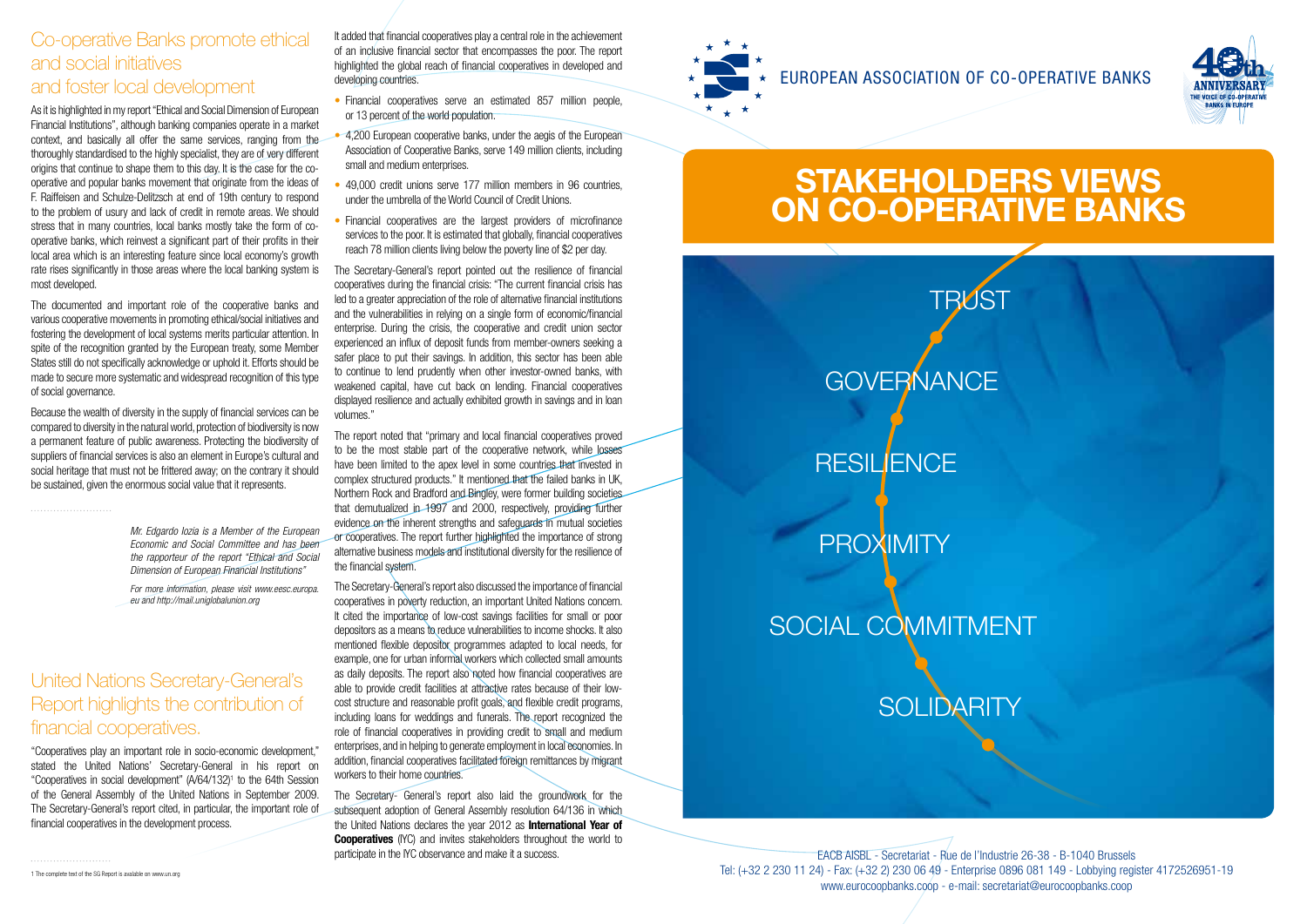#### Co-operative Banks promote ethical and social initiatives and foster local development

As it is highlighted in my report "Ethical and Social Dimension of European Financial Institutions", although banking companies operate in a market context, and basically all offer the same services, ranging from the thoroughly standardised to the highly specialist, they are of very different origins that continue to shape them to this day. It is the case for the cooperative and popular banks movement that originate from the ideas of F. Raiffeisen and Schulze-Delitzsch at end of 19th century to respond to the problem of usury and lack of credit in remote areas. We should stress that in many countries, local banks mostly take the form of cooperative banks, which reinvest a significant part of their profits in their local area which is an interesting feature since local economy's growth rate rises significantly in those areas where the local banking system is most developed.

The documented and important role of the cooperative banks and various cooperative movements in promoting ethical/social initiatives and fostering the development of local systems merits particular attention. In spite of the recognition granted by the European treaty, some Member States still do not specifically acknowledge or uphold it. Efforts should be made to secure more systematic and widespread recognition of this type of social governance.

It added that financial cooperatives play a central role in the achievement of an inclusive financial sector that encompasses the poor. The report highlighted the global reach of financial cooperatives in developed and developing countries.

Because the wealth of diversity in the supply of financial services can be compared to diversity in the natural world, protection of biodiversity is now a permanent feature of public awareness. Protecting the biodiversity of suppliers of financial services is also an element in Europe's cultural and social heritage that must not be frittered away; on the contrary it should be sustained, given the enormous social value that it represents.

## United Nations Secretary-General's Report highlights the contribution of financial cooperatives.

"Cooperatives play an important role in socio-economic development," stated the United Nations' Secretary-General in his report on "Cooperatives in social development"  $(A/G4/132)^1$  to the 64th Session of the General Assembly of the United Nations in September 2009. The Secretary-General's report cited, in particular, the important role of financial cooperatives in the development process.

1 The complete text of the SG Report is avalable on www.un.org



The Secretary- General's report also laid the groundwork for the subsequent adoption of General Assembly resolution 64/136 in which the United Nations declares the year 2012 as **International Year of Cooperatives** (IYC) and invites stakeholders throughout the world to

- Financial cooperatives serve an estimated 857 million people, or 13 percent of the world population.
- 4,200 European cooperative banks, under the aegis of the European Association of Cooperative Banks, serve 149 million clients, including small and medium enterprises.
- 49,000 credit unions serve 177 million members in 96 countries, under the umbrella of the World Council of Credit Unions.
- Financial cooperatives are the largest providers of microfinance services to the poor. It is estimated that globally, financial cooperatives reach 78 million clients living below the poverty line of \$2 per day.

participate in the IYC observance and make it a success. EACB AISBL - Secretariat - Rue de l'Industrie 26-38 - B-1040 Brussels Tel: (+32 2 230 11 24) - Fax: (+32 2) 230 06 49 - Enterprise 0896 081 149 - Lobbying register 4172526951-19 www.eurocoopbanks.coop - e-mail: secretariat@eurocoopbanks.coop

The Secretary-General's report pointed out the resilience of financial cooperatives during the financial crisis: "The current financial crisis has led to a greater appreciation of the role of alternative financial institutions and the vulnerabilities in relying on a single form of economic/financial enterprise. During the crisis, the cooperative and credit union sector experienced an influx of deposit funds from member-owners seeking a safer place to put their savings. In addition, this sector has been able to continue to lend prudently when other investor-owned banks, with weakened capital, have cut back on lending. Financial cooperatives displayed resilience and actually exhibited growth in savings and in loan volumes."

The report noted that "primary and local financial cooperatives proved to be the most stable part of the cooperative network, while losses have been limited to the apex level in some countries that invested in complex structured products." It mentioned that the failed banks in UK, Northern Rock and Bradford and Bingley, were former building societies that demutualized in 1997 and 2000, respectively, providing further evidence on the inherent strengths and safeguards in mutual societies or cooperatives. The report further highlighted the importance of strong alternative business models and institutional diversity for the resilience of the financial system.

The Secretary-General's report also discussed the importance of financial cooperatives in poverty reduction, an important United Nations concern. It cited the importance of low-cost savings facilities for small or poor depositors as a means to reduce vulnerabilities to income shocks. It also mentioned flexible depositor programmes adapted to local needs, for example, one for urban informal workers which collected small amounts as daily deposits. The report also noted how financial cooperatives are able to provide credit facilities at attractive rates because of their lowcost structure and reasonable profit goals, and flexible credit programs, including loans for weddings and funerals. The report recognized the role of financial cooperatives in providing credit to small and medium enterprises, and in helping to generate employment in local economies. In addition, financial cooperatives facilitated foreign remittances by migrant workers to their home countries.



## SOCIAL COMMITMENT

**SOLIDARITY** 

*Mr. Edgardo Iozia is a Member of the European Economic and Social Committee and has been the rapporteur of the report "Ethical and Social Dimension of European Financial Institutions"* 

*For more information, please visit www.eesc.europa. eu and http://mail.uniglobalunion.org*



## **STAKEHOLDERS VIEWS ON CO-OPERATIVE BANKS**

# **GOVERNANCE**

## **RESILIENCE**

**PROXIMITY**